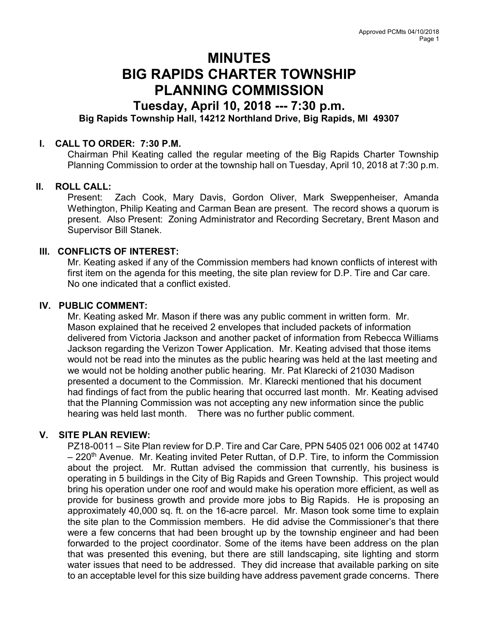# MINUTES BIG RAPIDS CHARTER TOWNSHIP PLANNING COMMISSION

## Tuesday, April 10, 2018 --- 7:30 p.m. Big Rapids Township Hall, 14212 Northland Drive, Big Rapids, MI 49307

#### I. CALL TO ORDER: 7:30 P.M.

Chairman Phil Keating called the regular meeting of the Big Rapids Charter Township Planning Commission to order at the township hall on Tuesday, April 10, 2018 at 7:30 p.m.

### II. ROLL CALL:

Present: Zach Cook, Mary Davis, Gordon Oliver, Mark Sweppenheiser, Amanda Wethington, Philip Keating and Carman Bean are present. The record shows a quorum is present. Also Present: Zoning Administrator and Recording Secretary, Brent Mason and Supervisor Bill Stanek.

#### III. CONFLICTS OF INTEREST:

Mr. Keating asked if any of the Commission members had known conflicts of interest with first item on the agenda for this meeting, the site plan review for D.P. Tire and Car care. No one indicated that a conflict existed.

#### IV. PUBLIC COMMENT:

Mr. Keating asked Mr. Mason if there was any public comment in written form. Mr. Mason explained that he received 2 envelopes that included packets of information delivered from Victoria Jackson and another packet of information from Rebecca Williams Jackson regarding the Verizon Tower Application. Mr. Keating advised that those items would not be read into the minutes as the public hearing was held at the last meeting and we would not be holding another public hearing. Mr. Pat Klarecki of 21030 Madison presented a document to the Commission. Mr. Klarecki mentioned that his document had findings of fact from the public hearing that occurred last month. Mr. Keating advised that the Planning Commission was not accepting any new information since the public hearing was held last month. There was no further public comment.

#### V. SITE PLAN REVIEW:

PZ18-0011 – Site Plan review for D.P. Tire and Car Care, PPN 5405 021 006 002 at 14740  $-220$ <sup>th</sup> Avenue. Mr. Keating invited Peter Ruttan, of D.P. Tire, to inform the Commission about the project. Mr. Ruttan advised the commission that currently, his business is operating in 5 buildings in the City of Big Rapids and Green Township. This project would bring his operation under one roof and would make his operation more efficient, as well as provide for business growth and provide more jobs to Big Rapids. He is proposing an approximately 40,000 sq. ft. on the 16-acre parcel. Mr. Mason took some time to explain the site plan to the Commission members. He did advise the Commissioner's that there were a few concerns that had been brought up by the township engineer and had been forwarded to the project coordinator. Some of the items have been address on the plan that was presented this evening, but there are still landscaping, site lighting and storm water issues that need to be addressed. They did increase that available parking on site to an acceptable level for this size building have address pavement grade concerns. There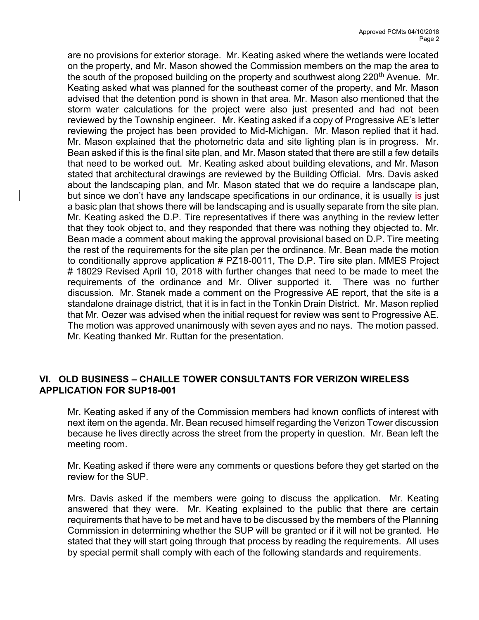are no provisions for exterior storage. Mr. Keating asked where the wetlands were located on the property, and Mr. Mason showed the Commission members on the map the area to the south of the proposed building on the property and southwest along 220<sup>th</sup> Avenue. Mr. Keating asked what was planned for the southeast corner of the property, and Mr. Mason advised that the detention pond is shown in that area. Mr. Mason also mentioned that the storm water calculations for the project were also just presented and had not been reviewed by the Township engineer. Mr. Keating asked if a copy of Progressive AE's letter reviewing the project has been provided to Mid-Michigan. Mr. Mason replied that it had. Mr. Mason explained that the photometric data and site lighting plan is in progress. Mr. Bean asked if this is the final site plan, and Mr. Mason stated that there are still a few details that need to be worked out. Mr. Keating asked about building elevations, and Mr. Mason stated that architectural drawings are reviewed by the Building Official. Mrs. Davis asked about the landscaping plan, and Mr. Mason stated that we do require a landscape plan, but since we don't have any landscape specifications in our ordinance, it is usually is just a basic plan that shows there will be landscaping and is usually separate from the site plan. Mr. Keating asked the D.P. Tire representatives if there was anything in the review letter that they took object to, and they responded that there was nothing they objected to. Mr. Bean made a comment about making the approval provisional based on D.P. Tire meeting the rest of the requirements for the site plan per the ordinance. Mr. Bean made the motion to conditionally approve application # PZ18-0011, The D.P. Tire site plan. MMES Project # 18029 Revised April 10, 2018 with further changes that need to be made to meet the requirements of the ordinance and Mr. Oliver supported it. There was no further discussion. Mr. Stanek made a comment on the Progressive AE report, that the site is a standalone drainage district, that it is in fact in the Tonkin Drain District. Mr. Mason replied that Mr. Oezer was advised when the initial request for review was sent to Progressive AE. The motion was approved unanimously with seven ayes and no nays. The motion passed. Mr. Keating thanked Mr. Ruttan for the presentation.

#### VI. OLD BUSINESS – CHAILLE TOWER CONSULTANTS FOR VERIZON WIRELESS APPLICATION FOR SUP18-001

Mr. Keating asked if any of the Commission members had known conflicts of interest with next item on the agenda. Mr. Bean recused himself regarding the Verizon Tower discussion because he lives directly across the street from the property in question. Mr. Bean left the meeting room.

Mr. Keating asked if there were any comments or questions before they get started on the review for the SUP.

Mrs. Davis asked if the members were going to discuss the application. Mr. Keating answered that they were. Mr. Keating explained to the public that there are certain requirements that have to be met and have to be discussed by the members of the Planning Commission in determining whether the SUP will be granted or if it will not be granted. He stated that they will start going through that process by reading the requirements. All uses by special permit shall comply with each of the following standards and requirements.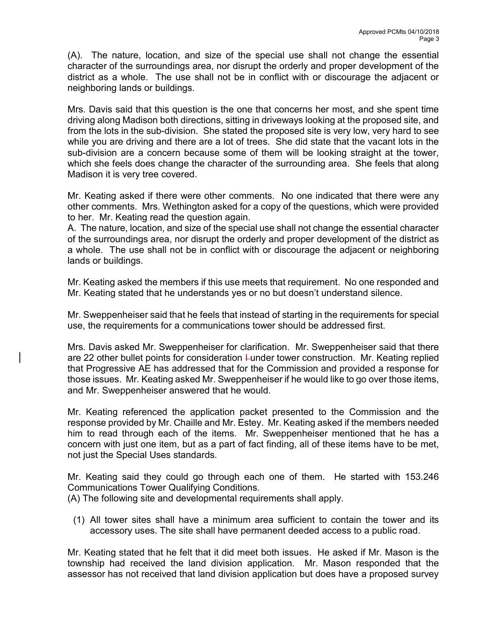(A). The nature, location, and size of the special use shall not change the essential character of the surroundings area, nor disrupt the orderly and proper development of the district as a whole. The use shall not be in conflict with or discourage the adjacent or neighboring lands or buildings.

Mrs. Davis said that this question is the one that concerns her most, and she spent time driving along Madison both directions, sitting in driveways looking at the proposed site, and from the lots in the sub-division. She stated the proposed site is very low, very hard to see while you are driving and there are a lot of trees. She did state that the vacant lots in the sub-division are a concern because some of them will be looking straight at the tower, which she feels does change the character of the surrounding area. She feels that along Madison it is very tree covered.

Mr. Keating asked if there were other comments. No one indicated that there were any other comments. Mrs. Wethington asked for a copy of the questions, which were provided to her. Mr. Keating read the question again.

A. The nature, location, and size of the special use shall not change the essential character of the surroundings area, nor disrupt the orderly and proper development of the district as a whole. The use shall not be in conflict with or discourage the adjacent or neighboring lands or buildings.

Mr. Keating asked the members if this use meets that requirement. No one responded and Mr. Keating stated that he understands yes or no but doesn't understand silence.

Mr. Sweppenheiser said that he feels that instead of starting in the requirements for special use, the requirements for a communications tower should be addressed first.

Mrs. Davis asked Mr. Sweppenheiser for clarification. Mr. Sweppenheiser said that there are 22 other bullet points for consideration  $\mu$ under tower construction. Mr. Keating replied that Progressive AE has addressed that for the Commission and provided a response for those issues. Mr. Keating asked Mr. Sweppenheiser if he would like to go over those items, and Mr. Sweppenheiser answered that he would.

Mr. Keating referenced the application packet presented to the Commission and the response provided by Mr. Chaille and Mr. Estey. Mr. Keating asked if the members needed him to read through each of the items. Mr. Sweppenheiser mentioned that he has a concern with just one item, but as a part of fact finding, all of these items have to be met, not just the Special Uses standards.

Mr. Keating said they could go through each one of them. He started with 153.246 Communications Tower Qualifying Conditions.

(A) The following site and developmental requirements shall apply.

(1) All tower sites shall have a minimum area sufficient to contain the tower and its accessory uses. The site shall have permanent deeded access to a public road.

Mr. Keating stated that he felt that it did meet both issues. He asked if Mr. Mason is the township had received the land division application. Mr. Mason responded that the assessor has not received that land division application but does have a proposed survey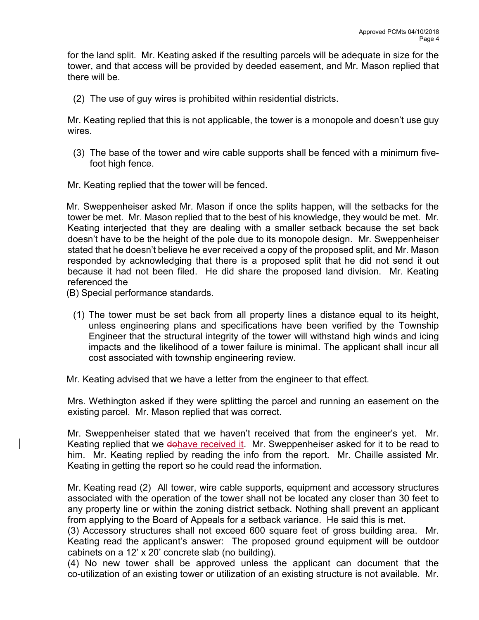for the land split. Mr. Keating asked if the resulting parcels will be adequate in size for the tower, and that access will be provided by deeded easement, and Mr. Mason replied that there will be.

(2) The use of guy wires is prohibited within residential districts.

Mr. Keating replied that this is not applicable, the tower is a monopole and doesn't use guy wires.

- (3) The base of the tower and wire cable supports shall be fenced with a minimum fivefoot high fence.
- Mr. Keating replied that the tower will be fenced.

Mr. Sweppenheiser asked Mr. Mason if once the splits happen, will the setbacks for the tower be met. Mr. Mason replied that to the best of his knowledge, they would be met. Mr. Keating interjected that they are dealing with a smaller setback because the set back doesn't have to be the height of the pole due to its monopole design. Mr. Sweppenheiser stated that he doesn't believe he ever received a copy of the proposed split, and Mr. Mason responded by acknowledging that there is a proposed split that he did not send it out because it had not been filed. He did share the proposed land division. Mr. Keating referenced the

- (B) Special performance standards.
	- (1) The tower must be set back from all property lines a distance equal to its height, unless engineering plans and specifications have been verified by the Township Engineer that the structural integrity of the tower will withstand high winds and icing impacts and the likelihood of a tower failure is minimal. The applicant shall incur all cost associated with township engineering review.

Mr. Keating advised that we have a letter from the engineer to that effect.

 Mrs. Wethington asked if they were splitting the parcel and running an easement on the existing parcel. Mr. Mason replied that was correct.

Mr. Sweppenheiser stated that we haven't received that from the engineer's yet. Mr. Keating replied that we dohave received it. Mr. Sweppenheiser asked for it to be read to him. Mr. Keating replied by reading the info from the report. Mr. Chaille assisted Mr. Keating in getting the report so he could read the information.

Mr. Keating read (2) All tower, wire cable supports, equipment and accessory structures associated with the operation of the tower shall not be located any closer than 30 feet to any property line or within the zoning district setback. Nothing shall prevent an applicant from applying to the Board of Appeals for a setback variance. He said this is met.

(3) Accessory structures shall not exceed 600 square feet of gross building area. Mr. Keating read the applicant's answer: The proposed ground equipment will be outdoor cabinets on a 12' x 20' concrete slab (no building).

(4) No new tower shall be approved unless the applicant can document that the co-utilization of an existing tower or utilization of an existing structure is not available. Mr.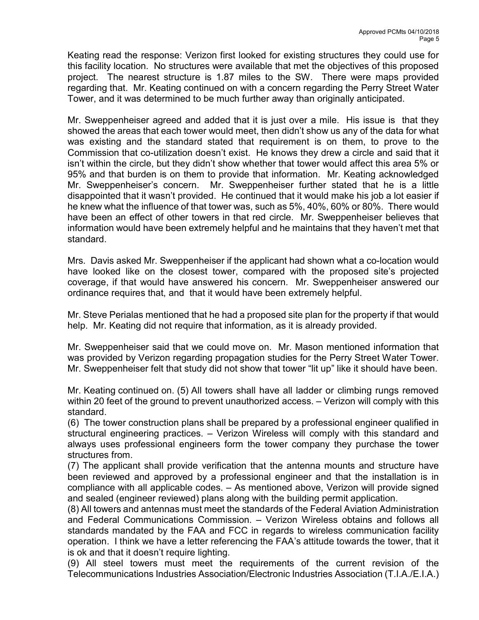Keating read the response: Verizon first looked for existing structures they could use for this facility location. No structures were available that met the objectives of this proposed project. The nearest structure is 1.87 miles to the SW. There were maps provided regarding that. Mr. Keating continued on with a concern regarding the Perry Street Water Tower, and it was determined to be much further away than originally anticipated.

Mr. Sweppenheiser agreed and added that it is just over a mile. His issue is that they showed the areas that each tower would meet, then didn't show us any of the data for what was existing and the standard stated that requirement is on them, to prove to the Commission that co-utilization doesn't exist. He knows they drew a circle and said that it isn't within the circle, but they didn't show whether that tower would affect this area 5% or 95% and that burden is on them to provide that information. Mr. Keating acknowledged Mr. Sweppenheiser's concern. Mr. Sweppenheiser further stated that he is a little disappointed that it wasn't provided. He continued that it would make his job a lot easier if he knew what the influence of that tower was, such as 5%, 40%, 60% or 80%. There would have been an effect of other towers in that red circle. Mr. Sweppenheiser believes that information would have been extremely helpful and he maintains that they haven't met that standard.

Mrs. Davis asked Mr. Sweppenheiser if the applicant had shown what a co-location would have looked like on the closest tower, compared with the proposed site's projected coverage, if that would have answered his concern. Mr. Sweppenheiser answered our ordinance requires that, and that it would have been extremely helpful.

Mr. Steve Perialas mentioned that he had a proposed site plan for the property if that would help. Mr. Keating did not require that information, as it is already provided.

Mr. Sweppenheiser said that we could move on. Mr. Mason mentioned information that was provided by Verizon regarding propagation studies for the Perry Street Water Tower. Mr. Sweppenheiser felt that study did not show that tower "lit up" like it should have been.

Mr. Keating continued on. (5) All towers shall have all ladder or climbing rungs removed within 20 feet of the ground to prevent unauthorized access. – Verizon will comply with this standard.

(6) The tower construction plans shall be prepared by a professional engineer qualified in structural engineering practices. – Verizon Wireless will comply with this standard and always uses professional engineers form the tower company they purchase the tower structures from.

(7) The applicant shall provide verification that the antenna mounts and structure have been reviewed and approved by a professional engineer and that the installation is in compliance with all applicable codes. – As mentioned above, Verizon will provide signed and sealed (engineer reviewed) plans along with the building permit application.

(8) All towers and antennas must meet the standards of the Federal Aviation Administration and Federal Communications Commission. – Verizon Wireless obtains and follows all standards mandated by the FAA and FCC in regards to wireless communication facility operation. I think we have a letter referencing the FAA's attitude towards the tower, that it is ok and that it doesn't require lighting.

(9) All steel towers must meet the requirements of the current revision of the Telecommunications Industries Association/Electronic Industries Association (T.I.A./E.I.A.)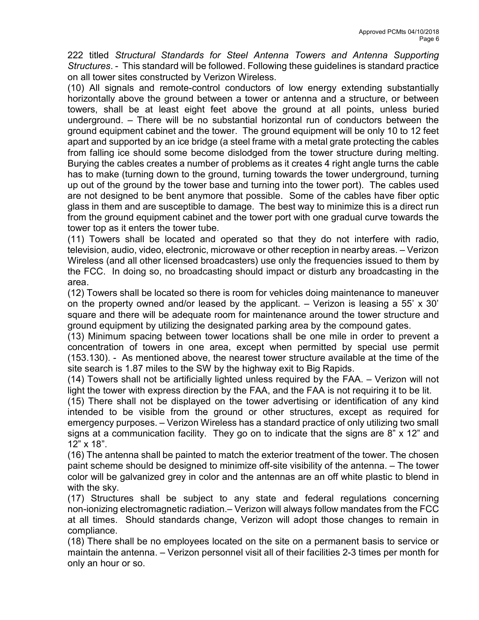222 titled Structural Standards for Steel Antenna Towers and Antenna Supporting Structures. - This standard will be followed. Following these guidelines is standard practice on all tower sites constructed by Verizon Wireless.

(10) All signals and remote-control conductors of low energy extending substantially horizontally above the ground between a tower or antenna and a structure, or between towers, shall be at least eight feet above the ground at all points, unless buried underground. – There will be no substantial horizontal run of conductors between the ground equipment cabinet and the tower. The ground equipment will be only 10 to 12 feet apart and supported by an ice bridge (a steel frame with a metal grate protecting the cables from falling ice should some become dislodged from the tower structure during melting. Burying the cables creates a number of problems as it creates 4 right angle turns the cable has to make (turning down to the ground, turning towards the tower underground, turning up out of the ground by the tower base and turning into the tower port). The cables used are not designed to be bent anymore that possible. Some of the cables have fiber optic glass in them and are susceptible to damage. The best way to minimize this is a direct run from the ground equipment cabinet and the tower port with one gradual curve towards the tower top as it enters the tower tube.

(11) Towers shall be located and operated so that they do not interfere with radio, television, audio, video, electronic, microwave or other reception in nearby areas. – Verizon Wireless (and all other licensed broadcasters) use only the frequencies issued to them by the FCC. In doing so, no broadcasting should impact or disturb any broadcasting in the area.

(12) Towers shall be located so there is room for vehicles doing maintenance to maneuver on the property owned and/or leased by the applicant. – Verizon is leasing a 55' x 30' square and there will be adequate room for maintenance around the tower structure and ground equipment by utilizing the designated parking area by the compound gates.

(13) Minimum spacing between tower locations shall be one mile in order to prevent a concentration of towers in one area, except when permitted by special use permit (153.130). - As mentioned above, the nearest tower structure available at the time of the site search is 1.87 miles to the SW by the highway exit to Big Rapids.

(14) Towers shall not be artificially lighted unless required by the FAA. – Verizon will not light the tower with express direction by the FAA, and the FAA is not requiring it to be lit.

(15) There shall not be displayed on the tower advertising or identification of any kind intended to be visible from the ground or other structures, except as required for emergency purposes. – Verizon Wireless has a standard practice of only utilizing two small signs at a communication facility. They go on to indicate that the signs are 8" x 12" and 12" x 18".

(16) The antenna shall be painted to match the exterior treatment of the tower. The chosen paint scheme should be designed to minimize off-site visibility of the antenna. – The tower color will be galvanized grey in color and the antennas are an off white plastic to blend in with the sky.

(17) Structures shall be subject to any state and federal regulations concerning non-ionizing electromagnetic radiation.– Verizon will always follow mandates from the FCC at all times. Should standards change, Verizon will adopt those changes to remain in compliance.

(18) There shall be no employees located on the site on a permanent basis to service or maintain the antenna. – Verizon personnel visit all of their facilities 2-3 times per month for only an hour or so.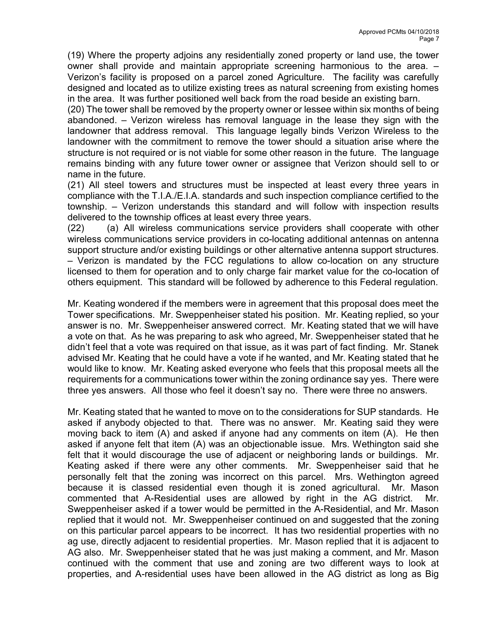(19) Where the property adjoins any residentially zoned property or land use, the tower owner shall provide and maintain appropriate screening harmonious to the area. – Verizon's facility is proposed on a parcel zoned Agriculture. The facility was carefully designed and located as to utilize existing trees as natural screening from existing homes in the area. It was further positioned well back from the road beside an existing barn.

(20) The tower shall be removed by the property owner or lessee within six months of being abandoned. – Verizon wireless has removal language in the lease they sign with the landowner that address removal. This language legally binds Verizon Wireless to the landowner with the commitment to remove the tower should a situation arise where the structure is not required or is not viable for some other reason in the future. The language remains binding with any future tower owner or assignee that Verizon should sell to or name in the future.

(21) All steel towers and structures must be inspected at least every three years in compliance with the T.I.A./E.I.A. standards and such inspection compliance certified to the township. – Verizon understands this standard and will follow with inspection results delivered to the township offices at least every three years.

(22) (a) All wireless communications service providers shall cooperate with other wireless communications service providers in co-locating additional antennas on antenna support structure and/or existing buildings or other alternative antenna support structures. – Verizon is mandated by the FCC regulations to allow co-location on any structure licensed to them for operation and to only charge fair market value for the co-location of others equipment. This standard will be followed by adherence to this Federal regulation.

Mr. Keating wondered if the members were in agreement that this proposal does meet the Tower specifications. Mr. Sweppenheiser stated his position. Mr. Keating replied, so your answer is no. Mr. Sweppenheiser answered correct. Mr. Keating stated that we will have a vote on that. As he was preparing to ask who agreed, Mr. Sweppenheiser stated that he didn't feel that a vote was required on that issue, as it was part of fact finding. Mr. Stanek advised Mr. Keating that he could have a vote if he wanted, and Mr. Keating stated that he would like to know. Mr. Keating asked everyone who feels that this proposal meets all the requirements for a communications tower within the zoning ordinance say yes. There were three yes answers. All those who feel it doesn't say no. There were three no answers.

Mr. Keating stated that he wanted to move on to the considerations for SUP standards. He asked if anybody objected to that. There was no answer. Mr. Keating said they were moving back to item (A) and asked if anyone had any comments on item (A). He then asked if anyone felt that item (A) was an objectionable issue. Mrs. Wethington said she felt that it would discourage the use of adjacent or neighboring lands or buildings. Mr. Keating asked if there were any other comments. Mr. Sweppenheiser said that he personally felt that the zoning was incorrect on this parcel. Mrs. Wethington agreed because it is classed residential even though it is zoned agricultural. Mr. Mason commented that A-Residential uses are allowed by right in the AG district. Mr. Sweppenheiser asked if a tower would be permitted in the A-Residential, and Mr. Mason replied that it would not. Mr. Sweppenheiser continued on and suggested that the zoning on this particular parcel appears to be incorrect. It has two residential properties with no ag use, directly adjacent to residential properties. Mr. Mason replied that it is adjacent to AG also. Mr. Sweppenheiser stated that he was just making a comment, and Mr. Mason continued with the comment that use and zoning are two different ways to look at properties, and A-residential uses have been allowed in the AG district as long as Big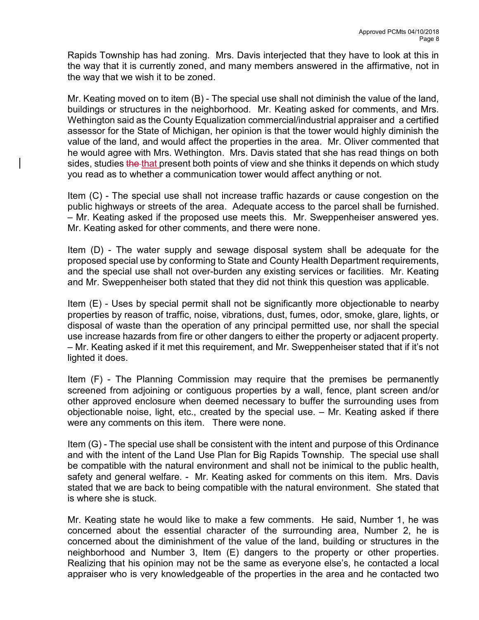Rapids Township has had zoning. Mrs. Davis interjected that they have to look at this in the way that it is currently zoned, and many members answered in the affirmative, not in the way that we wish it to be zoned.

Mr. Keating moved on to item (B) - The special use shall not diminish the value of the land, buildings or structures in the neighborhood. Mr. Keating asked for comments, and Mrs. Wethington said as the County Equalization commercial/industrial appraiser and a certified assessor for the State of Michigan, her opinion is that the tower would highly diminish the value of the land, and would affect the properties in the area. Mr. Oliver commented that he would agree with Mrs. Wethington. Mrs. Davis stated that she has read things on both sides, studies the that present both points of view and she thinks it depends on which study you read as to whether a communication tower would affect anything or not.

Item (C) - The special use shall not increase traffic hazards or cause congestion on the public highways or streets of the area. Adequate access to the parcel shall be furnished. – Mr. Keating asked if the proposed use meets this. Mr. Sweppenheiser answered yes. Mr. Keating asked for other comments, and there were none.

Item (D) - The water supply and sewage disposal system shall be adequate for the proposed special use by conforming to State and County Health Department requirements, and the special use shall not over-burden any existing services or facilities. Mr. Keating and Mr. Sweppenheiser both stated that they did not think this question was applicable.

Item (E) - Uses by special permit shall not be significantly more objectionable to nearby properties by reason of traffic, noise, vibrations, dust, fumes, odor, smoke, glare, lights, or disposal of waste than the operation of any principal permitted use, nor shall the special use increase hazards from fire or other dangers to either the property or adjacent property. – Mr. Keating asked if it met this requirement, and Mr. Sweppenheiser stated that if it's not lighted it does.

Item (F) - The Planning Commission may require that the premises be permanently screened from adjoining or contiguous properties by a wall, fence, plant screen and/or other approved enclosure when deemed necessary to buffer the surrounding uses from objectionable noise, light, etc., created by the special use. – Mr. Keating asked if there were any comments on this item. There were none.

Item (G) - The special use shall be consistent with the intent and purpose of this Ordinance and with the intent of the Land Use Plan for Big Rapids Township. The special use shall be compatible with the natural environment and shall not be inimical to the public health, safety and general welfare. - Mr. Keating asked for comments on this item. Mrs. Davis stated that we are back to being compatible with the natural environment. She stated that is where she is stuck.

Mr. Keating state he would like to make a few comments. He said, Number 1, he was concerned about the essential character of the surrounding area, Number 2, he is concerned about the diminishment of the value of the land, building or structures in the neighborhood and Number 3, Item (E) dangers to the property or other properties. Realizing that his opinion may not be the same as everyone else's, he contacted a local appraiser who is very knowledgeable of the properties in the area and he contacted two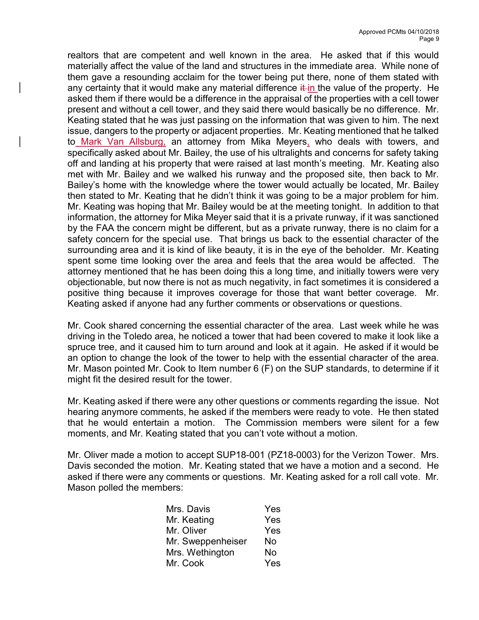realtors that are competent and well known in the area. He asked that if this would materially affect the value of the land and structures in the immediate area. While none of them gave a resounding acclaim for the tower being put there, none of them stated with any certainty that it would make any material difference  $\frac{1}{k}$  in the value of the property. He asked them if there would be a difference in the appraisal of the properties with a cell tower present and without a cell tower, and they said there would basically be no difference. Mr. Keating stated that he was just passing on the information that was given to him. The next issue, dangers to the property or adjacent properties. Mr. Keating mentioned that he talked to Mark Van Allsburg, an attorney from Mika Meyers, who deals with towers, and specifically asked about Mr. Bailey, the use of his ultralights and concerns for safety taking off and landing at his property that were raised at last month's meeting. Mr. Keating also met with Mr. Bailey and we walked his runway and the proposed site, then back to Mr. Bailey's home with the knowledge where the tower would actually be located, Mr. Bailey then stated to Mr. Keating that he didn't think it was going to be a major problem for him. Mr. Keating was hoping that Mr. Bailey would be at the meeting tonight. In addition to that information, the attorney for Mika Meyer said that it is a private runway, if it was sanctioned by the FAA the concern might be different, but as a private runway, there is no claim for a safety concern for the special use. That brings us back to the essential character of the surrounding area and it is kind of like beauty, it is in the eye of the beholder. Mr. Keating spent some time looking over the area and feels that the area would be affected. The attorney mentioned that he has been doing this a long time, and initially towers were very objectionable, but now there is not as much negativity, in fact sometimes it is considered a positive thing because it improves coverage for those that want better coverage. Mr. Keating asked if anyone had any further comments or observations or questions.

Mr. Cook shared concerning the essential character of the area. Last week while he was driving in the Toledo area, he noticed a tower that had been covered to make it look like a spruce tree, and it caused him to turn around and look at it again. He asked if it would be an option to change the look of the tower to help with the essential character of the area. Mr. Mason pointed Mr. Cook to Item number 6 (F) on the SUP standards, to determine if it might fit the desired result for the tower.

Mr. Keating asked if there were any other questions or comments regarding the issue. Not hearing anymore comments, he asked if the members were ready to vote. He then stated that he would entertain a motion. The Commission members were silent for a few moments, and Mr. Keating stated that you can't vote without a motion.

Mr. Oliver made a motion to accept SUP18-001 (PZ18-0003) for the Verizon Tower. Mrs. Davis seconded the motion. Mr. Keating stated that we have a motion and a second. He asked if there were any comments or questions. Mr. Keating asked for a roll call vote. Mr. Mason polled the members:

| Yes |
|-----|
| Yes |
| Yes |
| No  |
| No  |
| Yes |
|     |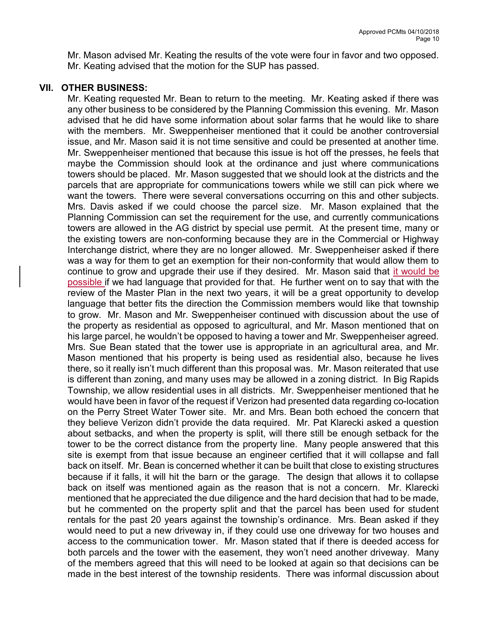Mr. Mason advised Mr. Keating the results of the vote were four in favor and two opposed. Mr. Keating advised that the motion for the SUP has passed.

#### VII. OTHER BUSINESS:

Mr. Keating requested Mr. Bean to return to the meeting. Mr. Keating asked if there was any other business to be considered by the Planning Commission this evening. Mr. Mason advised that he did have some information about solar farms that he would like to share with the members. Mr. Sweppenheiser mentioned that it could be another controversial issue, and Mr. Mason said it is not time sensitive and could be presented at another time. Mr. Sweppenheiser mentioned that because this issue is hot off the presses, he feels that maybe the Commission should look at the ordinance and just where communications towers should be placed. Mr. Mason suggested that we should look at the districts and the parcels that are appropriate for communications towers while we still can pick where we want the towers. There were several conversations occurring on this and other subjects. Mrs. Davis asked if we could choose the parcel size. Mr. Mason explained that the Planning Commission can set the requirement for the use, and currently communications towers are allowed in the AG district by special use permit. At the present time, many or the existing towers are non-conforming because they are in the Commercial or Highway Interchange district, where they are no longer allowed. Mr. Sweppenheiser asked if there was a way for them to get an exemption for their non-conformity that would allow them to continue to grow and upgrade their use if they desired. Mr. Mason said that it would be possible if we had language that provided for that. He further went on to say that with the review of the Master Plan in the next two years, it will be a great opportunity to develop language that better fits the direction the Commission members would like that township to grow. Mr. Mason and Mr. Sweppenheiser continued with discussion about the use of the property as residential as opposed to agricultural, and Mr. Mason mentioned that on his large parcel, he wouldn't be opposed to having a tower and Mr. Sweppenheiser agreed. Mrs. Sue Bean stated that the tower use is appropriate in an agricultural area, and Mr. Mason mentioned that his property is being used as residential also, because he lives there, so it really isn't much different than this proposal was. Mr. Mason reiterated that use is different than zoning, and many uses may be allowed in a zoning district. In Big Rapids Township, we allow residential uses in all districts. Mr. Sweppenheiser mentioned that he would have been in favor of the request if Verizon had presented data regarding co-location on the Perry Street Water Tower site. Mr. and Mrs. Bean both echoed the concern that they believe Verizon didn't provide the data required. Mr. Pat Klarecki asked a question about setbacks, and when the property is split, will there still be enough setback for the tower to be the correct distance from the property line. Many people answered that this site is exempt from that issue because an engineer certified that it will collapse and fall back on itself. Mr. Bean is concerned whether it can be built that close to existing structures because if it falls, it will hit the barn or the garage. The design that allows it to collapse back on itself was mentioned again as the reason that is not a concern. Mr. Klarecki mentioned that he appreciated the due diligence and the hard decision that had to be made, but he commented on the property split and that the parcel has been used for student rentals for the past 20 years against the township's ordinance. Mrs. Bean asked if they would need to put a new driveway in, if they could use one driveway for two houses and access to the communication tower. Mr. Mason stated that if there is deeded access for both parcels and the tower with the easement, they won't need another driveway. Many of the members agreed that this will need to be looked at again so that decisions can be made in the best interest of the township residents. There was informal discussion about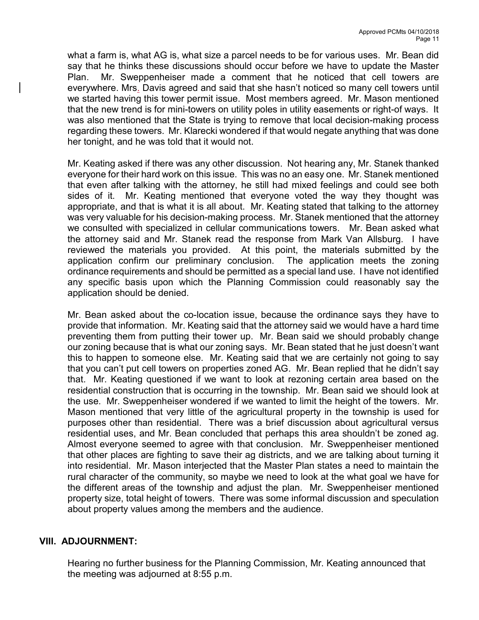what a farm is, what AG is, what size a parcel needs to be for various uses. Mr. Bean did say that he thinks these discussions should occur before we have to update the Master Plan. Mr. Sweppenheiser made a comment that he noticed that cell towers are everywhere. Mrs. Davis agreed and said that she hasn't noticed so many cell towers until we started having this tower permit issue. Most members agreed. Mr. Mason mentioned that the new trend is for mini-towers on utility poles in utility easements or right-of ways. It was also mentioned that the State is trying to remove that local decision-making process regarding these towers. Mr. Klarecki wondered if that would negate anything that was done her tonight, and he was told that it would not.

Mr. Keating asked if there was any other discussion. Not hearing any, Mr. Stanek thanked everyone for their hard work on this issue. This was no an easy one. Mr. Stanek mentioned that even after talking with the attorney, he still had mixed feelings and could see both sides of it. Mr. Keating mentioned that everyone voted the way they thought was appropriate, and that is what it is all about. Mr. Keating stated that talking to the attorney was very valuable for his decision-making process. Mr. Stanek mentioned that the attorney we consulted with specialized in cellular communications towers. Mr. Bean asked what the attorney said and Mr. Stanek read the response from Mark Van Allsburg. I have reviewed the materials you provided. At this point, the materials submitted by the application confirm our preliminary conclusion. The application meets the zoning ordinance requirements and should be permitted as a special land use. I have not identified any specific basis upon which the Planning Commission could reasonably say the application should be denied.

Mr. Bean asked about the co-location issue, because the ordinance says they have to provide that information. Mr. Keating said that the attorney said we would have a hard time preventing them from putting their tower up. Mr. Bean said we should probably change our zoning because that is what our zoning says. Mr. Bean stated that he just doesn't want this to happen to someone else. Mr. Keating said that we are certainly not going to say that you can't put cell towers on properties zoned AG. Mr. Bean replied that he didn't say that. Mr. Keating questioned if we want to look at rezoning certain area based on the residential construction that is occurring in the township. Mr. Bean said we should look at the use. Mr. Sweppenheiser wondered if we wanted to limit the height of the towers. Mr. Mason mentioned that very little of the agricultural property in the township is used for purposes other than residential. There was a brief discussion about agricultural versus residential uses, and Mr. Bean concluded that perhaps this area shouldn't be zoned ag. Almost everyone seemed to agree with that conclusion. Mr. Sweppenheiser mentioned that other places are fighting to save their ag districts, and we are talking about turning it into residential. Mr. Mason interjected that the Master Plan states a need to maintain the rural character of the community, so maybe we need to look at the what goal we have for the different areas of the township and adjust the plan. Mr. Sweppenheiser mentioned property size, total height of towers. There was some informal discussion and speculation about property values among the members and the audience.

#### VIII. ADJOURNMENT:

Hearing no further business for the Planning Commission, Mr. Keating announced that the meeting was adjourned at 8:55 p.m.